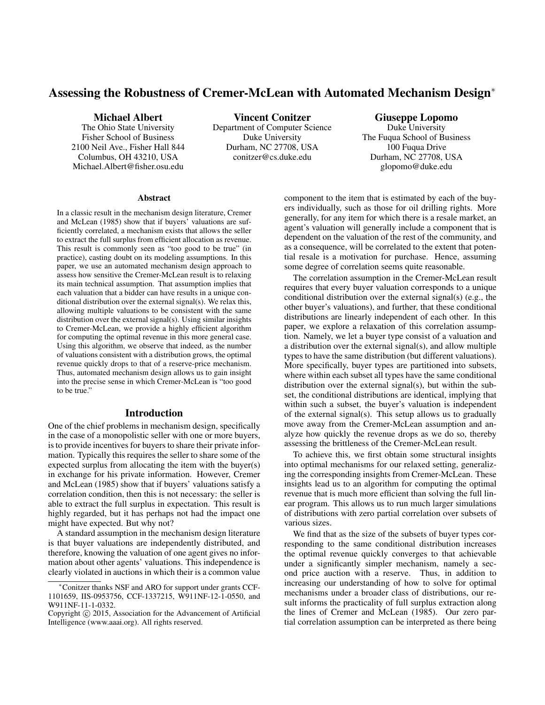# Assessing the Robustness of Cremer-McLean with Automated Mechanism Design<sup>∗</sup>

Michael Albert

The Ohio State University Fisher School of Business 2100 Neil Ave., Fisher Hall 844 Columbus, OH 43210, USA Michael.Albert@fisher.osu.edu

Vincent Conitzer Department of Computer Science Duke University Durham, NC 27708, USA conitzer@cs.duke.edu

Giuseppe Lopomo

Duke University The Fuqua School of Business 100 Fuqua Drive Durham, NC 27708, USA glopomo@duke.edu

#### **Abstract**

In a classic result in the mechanism design literature, Cremer and McLean (1985) show that if buyers' valuations are sufficiently correlated, a mechanism exists that allows the seller to extract the full surplus from efficient allocation as revenue. This result is commonly seen as "too good to be true" (in practice), casting doubt on its modeling assumptions. In this paper, we use an automated mechanism design approach to assess how sensitive the Cremer-McLean result is to relaxing its main technical assumption. That assumption implies that each valuation that a bidder can have results in a unique conditional distribution over the external signal(s). We relax this, allowing multiple valuations to be consistent with the same distribution over the external signal(s). Using similar insights to Cremer-McLean, we provide a highly efficient algorithm for computing the optimal revenue in this more general case. Using this algorithm, we observe that indeed, as the number of valuations consistent with a distribution grows, the optimal revenue quickly drops to that of a reserve-price mechanism. Thus, automated mechanism design allows us to gain insight into the precise sense in which Cremer-McLean is "too good to be true."

#### Introduction

One of the chief problems in mechanism design, specifically in the case of a monopolistic seller with one or more buyers, is to provide incentives for buyers to share their private information. Typically this requires the seller to share some of the expected surplus from allocating the item with the buyer(s) in exchange for his private information. However, Cremer and McLean (1985) show that if buyers' valuations satisfy a correlation condition, then this is not necessary: the seller is able to extract the full surplus in expectation. This result is highly regarded, but it has perhaps not had the impact one might have expected. But why not?

A standard assumption in the mechanism design literature is that buyer valuations are independently distributed, and therefore, knowing the valuation of one agent gives no information about other agents' valuations. This independence is clearly violated in auctions in which their is a common value component to the item that is estimated by each of the buyers individually, such as those for oil drilling rights. More generally, for any item for which there is a resale market, an agent's valuation will generally include a component that is dependent on the valuation of the rest of the community, and as a consequence, will be correlated to the extent that potential resale is a motivation for purchase. Hence, assuming some degree of correlation seems quite reasonable.

The correlation assumption in the Cremer-McLean result requires that every buyer valuation corresponds to a unique conditional distribution over the external signal(s) (e.g., the other buyer's valuations), and further, that these conditional distributions are linearly independent of each other. In this paper, we explore a relaxation of this correlation assumption. Namely, we let a buyer type consist of a valuation and a distribution over the external signal(s), and allow multiple types to have the same distribution (but different valuations). More specifically, buyer types are partitioned into subsets, where within each subset all types have the same conditional distribution over the external signal(s), but within the subset, the conditional distributions are identical, implying that within such a subset, the buyer's valuation is independent of the external signal(s). This setup allows us to gradually move away from the Cremer-McLean assumption and analyze how quickly the revenue drops as we do so, thereby assessing the brittleness of the Cremer-McLean result.

To achieve this, we first obtain some structural insights into optimal mechanisms for our relaxed setting, generalizing the corresponding insights from Cremer-McLean. These insights lead us to an algorithm for computing the optimal revenue that is much more efficient than solving the full linear program. This allows us to run much larger simulations of distributions with zero partial correlation over subsets of various sizes.

We find that as the size of the subsets of buyer types corresponding to the same conditional distribution increases the optimal revenue quickly converges to that achievable under a significantly simpler mechanism, namely a second price auction with a reserve. Thus, in addition to increasing our understanding of how to solve for optimal mechanisms under a broader class of distributions, our result informs the practicality of full surplus extraction along the lines of Cremer and McLean (1985). Our zero partial correlation assumption can be interpreted as there being

<sup>∗</sup>Conitzer thanks NSF and ARO for support under grants CCF-1101659, IIS-0953756, CCF-1337215, W911NF-12-1-0550, and W911NF-11-1-0332.

Copyright © 2015, Association for the Advancement of Artificial Intelligence (www.aaai.org). All rights reserved.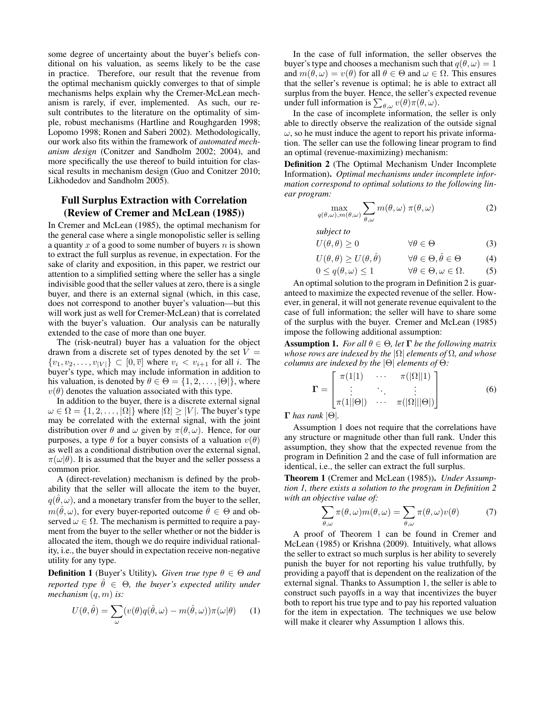some degree of uncertainty about the buyer's beliefs conditional on his valuation, as seems likely to be the case in practice. Therefore, our result that the revenue from the optimal mechanism quickly converges to that of simple mechanisms helps explain why the Cremer-McLean mechanism is rarely, if ever, implemented. As such, our result contributes to the literature on the optimality of simple, robust mechanisms (Hartline and Roughgarden 1998; Lopomo 1998; Ronen and Saberi 2002). Methodologically, our work also fits within the framework of *automated mechanism design* (Conitzer and Sandholm 2002; 2004), and more specifically the use thereof to build intuition for classical results in mechanism design (Guo and Conitzer 2010; Likhodedov and Sandholm 2005).

## Full Surplus Extraction with Correlation (Review of Cremer and McLean (1985))

In Cremer and McLean (1985), the optimal mechanism for the general case where a single monopolistic seller is selling a quantity  $x$  of a good to some number of buyers  $n$  is shown to extract the full surplus as revenue, in expectation. For the sake of clarity and exposition, in this paper, we restrict our attention to a simplified setting where the seller has a single indivisible good that the seller values at zero, there is a single buyer, and there is an external signal (which, in this case, does not correspond to another buyer's valuation—but this will work just as well for Cremer-McLean) that is correlated with the buyer's valuation. Our analysis can be naturally extended to the case of more than one buyer.

The (risk-neutral) buyer has a valuation for the object drawn from a discrete set of types denoted by the set  $V =$  $\{v_1, v_2, \ldots, v_{|V|}\} \subset [0, \overline{v}]$  where  $v_i < v_{i+1}$  for all i. The buyer's type, which may include information in addition to his valuation, is denoted by  $\theta \in \Theta = \{1, 2, \ldots, |\Theta|\}$ , where  $v(\theta)$  denotes the valuation associated with this type.

In addition to the buyer, there is a discrete external signal  $\omega \in \Omega = \{1, 2, \ldots, |\Omega|\}$  where  $|\Omega| \geq |V|$ . The buyer's type may be correlated with the external signal, with the joint distribution over  $\theta$  and  $\omega$  given by  $\pi(\theta, \omega)$ . Hence, for our purposes, a type  $\theta$  for a buyer consists of a valuation  $v(\theta)$ as well as a conditional distribution over the external signal,  $\pi(\omega|\theta)$ . It is assumed that the buyer and the seller possess a common prior.

A (direct-revelation) mechanism is defined by the probability that the seller will allocate the item to the buyer,  $q(\hat{\theta}, \omega)$ , and a monetary transfer from the buyer to the seller,  $m(\hat{\theta}, \omega)$ , for every buyer-reported outcome  $\hat{\theta} \in \Theta$  and observed  $\omega \in \Omega$ . The mechanism is permitted to require a payment from the buyer to the seller whether or not the bidder is allocated the item, though we do require individual rationality, i.e., the buyer should in expectation receive non-negative utility for any type.

**Definition 1** (Buyer's Utility). *Given true type*  $\theta \in \Theta$  *and reported type*  $\hat{\theta} \in \Theta$ *, the buyer's expected utility under mechanism* (q, m) *is:*

$$
U(\theta, \hat{\theta}) = \sum_{\omega} (v(\theta)q(\hat{\theta}, \omega) - m(\hat{\theta}, \omega))\pi(\omega|\theta)
$$
 (1)

In the case of full information, the seller observes the buyer's type and chooses a mechanism such that  $q(\theta, \omega) = 1$ and  $m(\theta, \omega) = v(\theta)$  for all  $\theta \in \Theta$  and  $\omega \in \Omega$ . This ensures that the seller's revenue is optimal; he is able to extract all surplus from the buyer. Hence, the seller's expected revenue under full information is  $\sum_{\theta,\omega} v(\theta) \pi(\theta,\omega)$ .

In the case of incomplete information, the seller is only able to directly observe the realization of the outside signal  $\omega$ , so he must induce the agent to report his private information. The seller can use the following linear program to find an optimal (revenue-maximizing) mechanism:

Definition 2 (The Optimal Mechanism Under Incomplete Information). *Optimal mechanisms under incomplete information correspond to optimal solutions to the following linear program:*

$$
\max_{q(\theta,\omega),m(\theta,\omega)} \sum_{\theta,\omega} m(\theta,\omega) \ \pi(\theta,\omega) \tag{2}
$$

*subject to*

$$
U(\theta, \theta) \ge 0 \qquad \qquad \forall \theta \in \Theta \tag{3}
$$

$$
U(\theta, \theta) \ge U(\theta, \hat{\theta}) \qquad \forall \theta \in \Theta, \hat{\theta} \in \Theta \tag{4}
$$

$$
0 \le q(\theta, \omega) \le 1 \qquad \forall \theta \in \Theta, \omega \in \Omega. \tag{5}
$$

An optimal solution to the program in Definition 2 is guaranteed to maximize the expected revenue of the seller. However, in general, it will not generate revenue equivalent to the case of full information; the seller will have to share some of the surplus with the buyer. Cremer and McLean (1985) impose the following additional assumption:

**Assumption 1.** *For all*  $\theta \in \Theta$ *, let*  $\Gamma$  *be the following matrix whose rows are indexed by the* |Ω| *elements of* Ω*, and whose columns are indexed by the* |Θ| *elements of* Θ*:*

$$
\mathbf{\Gamma} = \begin{bmatrix} \pi(1|1) & \cdots & \pi(|\Omega||1) \\ \vdots & \ddots & \vdots \\ \pi(1||\Theta|) & \cdots & \pi(|\Omega|||\Theta|) \end{bmatrix}
$$
(6)

Γ *has rank* |Θ|*.*

Assumption 1 does not require that the correlations have any structure or magnitude other than full rank. Under this assumption, they show that the expected revenue from the program in Definition 2 and the case of full information are identical, i.e., the seller can extract the full surplus.

Theorem 1 (Cremer and McLean (1985)). *Under Assumption 1, there exists a solution to the program in Definition 2 with an objective value of:*

$$
\sum_{\theta,\omega} \pi(\theta,\omega)m(\theta,\omega) = \sum_{\theta,\omega} \pi(\theta,\omega)v(\theta) \tag{7}
$$

A proof of Theorem 1 can be found in Cremer and McLean (1985) or Krishna (2009). Intuitively, what allows the seller to extract so much surplus is her ability to severely punish the buyer for not reporting his value truthfully, by providing a payoff that is dependent on the realization of the external signal. Thanks to Assumption 1, the seller is able to construct such payoffs in a way that incentivizes the buyer both to report his true type and to pay his reported valuation for the item in expectation. The techniques we use below will make it clearer why Assumption 1 allows this.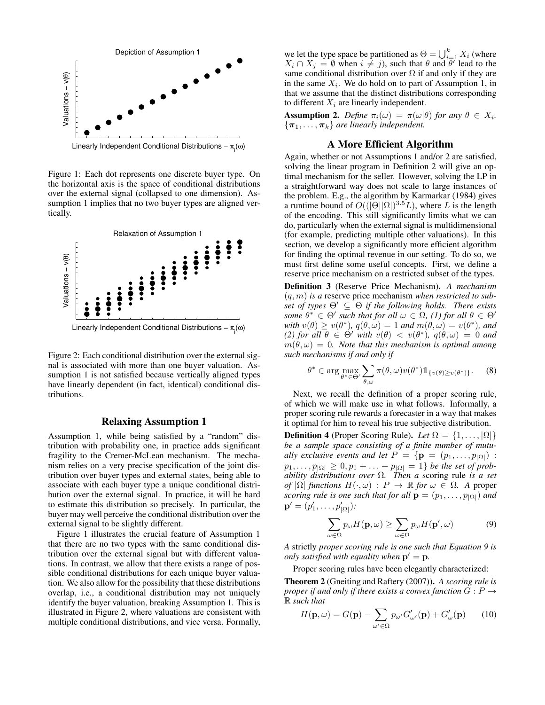

Linearly Independent Conditional Distributions – π<sub>ι</sub>(ω)

Figure 1: Each dot represents one discrete buyer type. On the horizontal axis is the space of conditional distributions over the external signal (collapsed to one dimension). Assumption 1 implies that no two buyer types are aligned vertically.



Linearly Independent Conditional Distributions – π<sub>i</sub>(ω)

Figure 2: Each conditional distribution over the external signal is associated with more than one buyer valuation. Assumption 1 is not satisfied because vertically aligned types have linearly dependent (in fact, identical) conditional distributions.

#### Relaxing Assumption 1

Assumption 1, while being satisfied by a "random" distribution with probability one, in practice adds significant fragility to the Cremer-McLean mechanism. The mechanism relies on a very precise specification of the joint distribution over buyer types and external states, being able to associate with each buyer type a unique conditional distribution over the external signal. In practice, it will be hard to estimate this distribution so precisely. In particular, the buyer may well perceive the conditional distribution over the external signal to be slightly different.

Figure 1 illustrates the crucial feature of Assumption 1 that there are no two types with the same conditional distribution over the external signal but with different valuations. In contrast, we allow that there exists a range of possible conditional distributions for each unique buyer valuation. We also allow for the possibility that these distributions overlap, i.e., a conditional distribution may not uniquely identify the buyer valuation, breaking Assumption 1. This is illustrated in Figure 2, where valuations are consistent with multiple conditional distributions, and vice versa. Formally,

we let the type space be partitioned as  $\Theta = \bigcup_{i=1}^k X_i$  (where  $X_i \cap X_j = \emptyset$  when  $i \neq j$ , such that  $\theta$  and  $\theta$ <sup>'</sup> lead to the same conditional distribution over  $\Omega$  if and only if they are in the same  $X_i$ . We do hold on to part of Assumption 1, in that we assume that the distinct distributions corresponding to different  $X_i$  are linearly independent.

**Assumption 2.** Define  $\pi_i(\omega) = \pi(\omega|\theta)$  for any  $\theta \in X_i$ .  ${\lbrace \pi_1, \ldots, \pi_k \rbrace}$  are linearly independent.

### A More Efficient Algorithm

Again, whether or not Assumptions 1 and/or 2 are satisfied, solving the linear program in Definition 2 will give an optimal mechanism for the seller. However, solving the LP in a straightforward way does not scale to large instances of the problem. E.g., the algorithm by Karmarkar (1984) gives a runtime bound of  $O((|\Theta||\Omega|)^{3.5}L)$ , where L is the length of the encoding. This still significantly limits what we can do, particularly when the external signal is multidimensional (for example, predicting multiple other valuations). In this section, we develop a significantly more efficient algorithm for finding the optimal revenue in our setting. To do so, we must first define some useful concepts. First, we define a reserve price mechanism on a restricted subset of the types.

Definition 3 (Reserve Price Mechanism). *A mechanism* (q, m) *is a* reserve price mechanism *when restricted to subset of types*  $\Theta' \subseteq \Theta$  *if the following holds. There exists some*  $\theta^* \in \Theta'$  *such that for all*  $\omega \in \Omega$ , (1) for all  $\theta \in \Theta'$ with  $v(\theta) \ge v(\theta^*)$ ,  $q(\theta, \omega) = 1$  and  $m(\theta, \omega) = v(\theta^*)$ , and *(2) for all*  $\theta \in \Theta'$  *with*  $v(\theta) < v(\theta^*)$ ,  $q(\theta,\omega) = 0$  *and*  $m(\theta,\omega) = 0$ . Note that this mechanism is optimal among *such mechanisms if and only if*

$$
\theta^* \in \arg\max_{\theta^* \in \Theta'} \sum_{\theta,\omega} \pi(\theta,\omega) v(\theta^*) \mathbb{1}_{\{v(\theta) \ge v(\theta^*)\}}.
$$
 (8)

Next, we recall the definition of a proper scoring rule, of which we will make use in what follows. Informally, a proper scoring rule rewards a forecaster in a way that makes it optimal for him to reveal his true subjective distribution.

**Definition 4** (Proper Scoring Rule). *Let*  $\Omega = \{1, \ldots, |\Omega|\}$ *be a sample space consisting of a finite number of mutually exclusive events and let*  $P = \{ \mathbf{p} = (p_1, \ldots, p_{|\Omega|}) :$  $p_1, \ldots, p_{|\Omega|} \geq 0, p_1 + \ldots + p_{|\Omega|} = 1$ } *be the set of probability distributions over* Ω*. Then a* scoring rule *is a set of*  $|\Omega|$  *functions*  $H(\cdot, \omega) : P \to \mathbb{R}$  *for*  $\omega \in \Omega$ . A proper *scoring rule is one such that for all*  $\mathbf{p} = (p_1, \ldots, p_{|\Omega|})$  *and*  ${\bf p}' = (p'_1, \ldots, p'_{|\Omega|})$ *:* 

$$
\sum_{\omega \in \Omega} p_{\omega} H(\mathbf{p}, \omega) \ge \sum_{\omega \in \Omega} p_{\omega} H(\mathbf{p}', \omega) \tag{9}
$$

*A* strictly *proper scoring rule is one such that Equation 9 is only satisfied with equality when*  $p' = p$ .

Proper scoring rules have been elegantly characterized:

Theorem 2 (Gneiting and Raftery (2007)). *A scoring rule is proper if and only if there exists a convex function*  $G: P \rightarrow$ R *such that*

$$
H(\mathbf{p}, \omega) = G(\mathbf{p}) - \sum_{\omega' \in \Omega} p_{\omega'} G'_{\omega'}(\mathbf{p}) + G'_{\omega}(\mathbf{p}) \qquad (10)
$$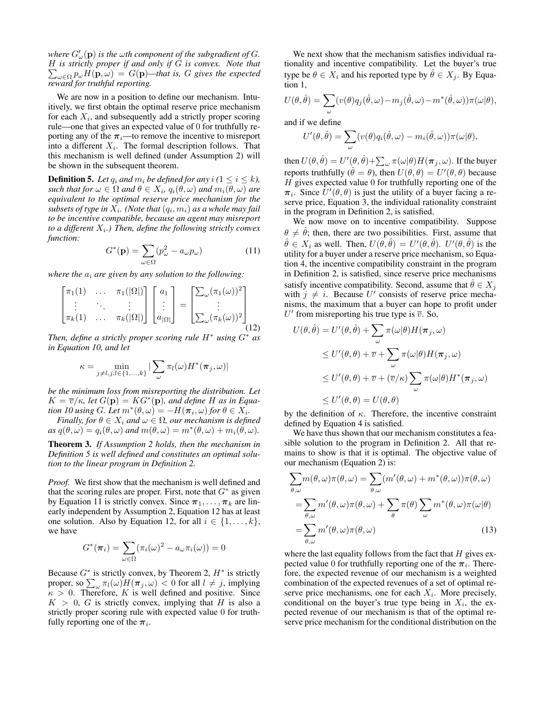where  $G'_{\omega}(\mathbf{p})$  is the  $\omega$ th component of the subgradient of  $G$ . H *is strictly proper if and only if* G *is convex. Note that*  $\sum_{\omega \in \Omega} p_{\omega} H(\mathbf{p}, \omega) = G(\mathbf{p})$ —that is, G gives the expected *reward for truthful reporting.*

We are now in a position to define our mechanism. Intuitively, we first obtain the optimal reserve price mechanism for each  $X_i$ , and subsequently add a strictly proper scoring rule—one that gives an expected value of 0 for truthfully reporting any of the  $\pi_i$ —to remove the incentive to misreport into a different  $X_i$ . The formal description follows. That this mechanism is well defined (under Assumption 2) will be shown in the subsequent theorem.

**Definition 5.** Let  $q_i$  and  $m_i$  be defined for any  $i$  ( $1 \leq i \leq k$ ),  $\mathit{such that for} \ \omega \in \Omega \ and \ \theta \in X_i, \ q_i(\theta,\omega) \ and \ m_i(\theta,\omega) \ are$ *equivalent to the optimal reserve price mechanism for the*  $subsets$  of type in  $X_i$ . (Note that  $(q_i, m_i)$  as a whole may fail *to be incentive compatible, because an agent may misreport* to a different  $X_i$ .) Then, define the following strictly convex *function:*

$$
G^*(\mathbf{p}) = \sum_{\omega \in \Omega} (p_{\omega}^2 - a_{\omega} p_{\omega})
$$
 (11)

*where the*  $a_i$  *are given by any solution to the following:* 

$$
\begin{bmatrix} \pi_1(1) & \dots & \pi_1(|\Omega|) \\ \vdots & \ddots & \vdots \\ \pi_k(1) & \dots & \pi_k(|\Omega|) \end{bmatrix} \begin{bmatrix} a_1 \\ \vdots \\ a_{|\Omega|} \end{bmatrix} = \begin{bmatrix} \sum_{\omega} (\pi_1(\omega))^2 \\ \vdots \\ \sum_{\omega} (\pi_k(\omega))^2 \end{bmatrix}
$$
(12)

*Then, define a strictly proper scoring rule* H<sup>∗</sup> *using* G<sup>∗</sup> *as in Equation 10, and let*

$$
\kappa = \min_{j \neq l, j, l \in \{1, \dots, k\}} |\sum_{\omega} \pi_l(\omega) H^*(\pi_j, \omega)|
$$

*be the minimum loss from misreporting the distribution. Let*  $K = \overline{v}/\kappa$ , let  $G(\mathbf{p}) = KG^*(\mathbf{p})$ , and define H as in Equa*tion 10 using G. Let*  $m^*(\theta, \omega) = -H(\pi_i, \omega)$  *for*  $\theta \in X_i$ *.* 

*Finally, for*  $\theta \in X_i$  *and*  $\omega \in \Omega$ *, our mechanism is defined*  $as \ q(\theta, \omega) = q_i(\theta, \omega)$  *and*  $m(\theta, \omega) = m^*(\theta, \omega) + m_i(\theta, \omega)$ .

Theorem 3. *If Assumption 2 holds, then the mechanism in Definition 5 is well defined and constitutes an optimal solution to the linear program in Definition 2.*

*Proof.* We first show that the mechanism is well defined and that the scoring rules are proper. First, note that  $G^*$  as given by Equation 11 is strictly convex. Since  $\pi_1, \ldots, \pi_k$  are linearly independent by Assumption 2, Equation 12 has at least one solution. Also by Equation 12, for all  $i \in \{1, \ldots, k\}$ , we have

$$
G^*(\boldsymbol{\pi}_i) = \sum_{\omega \in \Omega} (\pi_i(\omega))^2 - a_{\omega} \pi_i(\omega)) = 0
$$

Because  $G^*$  is strictly convex, by Theorem 2,  $H^*$  is strictly proper, so  $\sum_{\omega} \pi_l(\omega) H(\pi_j, \omega) < 0$  for all  $l \neq j$ , implying  $\kappa > 0$ . Therefore, K is well defined and positive. Since  $K > 0$ , G is strictly convex, implying that H is also a strictly proper scoring rule with expected value 0 for truthfully reporting one of the  $\pi_i$ .

We next show that the mechanism satisfies individual rationality and incentive compatibility. Let the buyer's true type be  $\theta \in X_i$  and his reported type by  $\hat{\theta} \in X_i$ . By Equation 1,

$$
U(\theta, \hat{\theta}) = \sum_{\omega} (v(\theta)q_j(\hat{\theta}, \omega) - m_j(\hat{\theta}, \omega) - m^*(\hat{\theta}, \omega))\pi(\omega|\theta),
$$

and if we define

$$
U'(\theta, \hat{\theta}) = \sum_{\omega} (v(\theta)q_i(\hat{\theta}, \omega) - m_i(\hat{\theta}, \omega))\pi(\omega|\theta),
$$

then  $U(\theta, \hat{\theta}) = U'(\theta, \hat{\theta}) + \sum_\omega \pi(\omega | \theta) H(\bm{\pi}_j, \omega).$  If the buyer reports truthfully  $(\hat{\theta} = \theta)$ , then  $U(\theta, \theta) = U'(\theta, \theta)$  because  $H$  gives expected value 0 for truthfully reporting one of the  $\pi_i$ . Since  $\tilde{U}'(\theta, \theta)$  is just the utility of a buyer facing a reserve price, Equation 3, the individual rationality constraint in the program in Definition 2, is satisfied.

We now move on to incentive compatibility. Suppose  $\theta \neq \hat{\theta}$ ; then, there are two possibilities. First, assume that  $\hat{\theta} \in X_i$  as well. Then,  $U(\theta, \hat{\theta}) = U'(\theta, \hat{\theta})$ .  $U'(\theta, \hat{\theta})$  is the utility for a buyer under a reserve price mechanism, so Equation 4, the incentive compatibility constraint in the program in Definition 2, is satisfied, since reserve price mechanisms satisfy incentive compatibility. Second, assume that  $\hat{\theta} \in X_i$ with  $j \neq i$ . Because U' consists of reserve price mechanisms, the maximum that a buyer can hope to profit under U' from misreporting his true type is  $\overline{v}$ . So,

$$
U(\theta, \hat{\theta}) = U'(\theta, \hat{\theta}) + \sum_{\omega} \pi(\omega|\theta) H(\pi_j, \omega)
$$
  
\n
$$
\leq U'(\theta, \theta) + \overline{v} + \sum_{\omega} \pi(\omega|\theta) H(\pi_j, \omega)
$$
  
\n
$$
\leq U'(\theta, \theta) + \overline{v} + (\overline{v}/\kappa) \sum_{\omega} \pi(\omega|\theta) H^*(\pi_j, \omega)
$$
  
\n
$$
\leq U'(\theta, \theta) = U(\theta, \theta)
$$

by the definition of  $\kappa$ . Therefore, the incentive constraint defined by Equation 4 is satisfied.

We have thus shown that our mechanism constitutes a feasible solution to the program in Definition 2. All that remains to show is that it is optimal. The objective value of our mechanism (Equation 2) is:

$$
\sum_{\theta,\omega} m(\theta,\omega)\pi(\theta,\omega) = \sum_{\theta,\omega} (m'(\theta,\omega) + m^*(\theta,\omega))\pi(\theta,\omega)
$$

$$
= \sum_{\theta,\omega} m'(\theta,\omega)\pi(\theta,\omega) + \sum_{\theta}\pi(\theta)\sum_{\omega} m^*(\theta,\omega)\pi(\omega|\theta)
$$

$$
= \sum_{\theta,\omega} m'(\theta,\omega)\pi(\theta,\omega) \tag{13}
$$

where the last equality follows from the fact that  $H$  gives expected value 0 for truthfully reporting one of the  $\pi_i$ . Therefore, the expected revenue of our mechanism is a weighted combination of the expected revenues of a set of optimal reserve price mechanisms, one for each  $X_i$ . More precisely, conditional on the buyer's true type being in  $X_i$ , the expected revenue of our mechanism is that of the optimal reserve price mechanism for the conditional distribution on the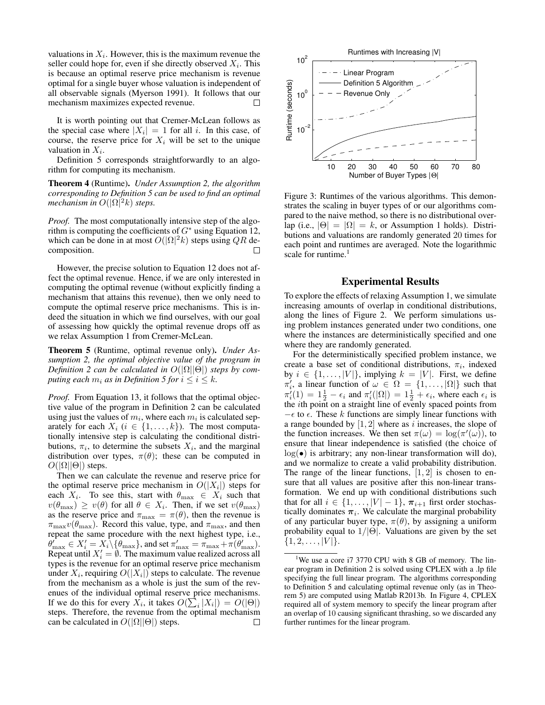valuations in  $X_i$ . However, this is the maximum revenue the seller could hope for, even if she directly observed  $X_i$ . This is because an optimal reserve price mechanism is revenue optimal for a single buyer whose valuation is independent of all observable signals (Myerson 1991). It follows that our mechanism maximizes expected revenue.  $\Box$ 

It is worth pointing out that Cremer-McLean follows as the special case where  $|X_i| = 1$  for all i. In this case, of course, the reserve price for  $X_i$  will be set to the unique valuation in  $X_i$ .

Definition 5 corresponds straightforwardly to an algorithm for computing its mechanism.

Theorem 4 (Runtime). *Under Assumption 2, the algorithm corresponding to Definition 5 can be used to find an optimal mechanism in*  $O(|\Omega|^2 k)$  *steps.* 

*Proof.* The most computationally intensive step of the algorithm is computing the coefficients of  $G^*$  using Equation 12, which can be done in at most  $O(|\Omega|^2 k)$  steps using QR decomposition. □

However, the precise solution to Equation 12 does not affect the optimal revenue. Hence, if we are only interested in computing the optimal revenue (without explicitly finding a mechanism that attains this revenue), then we only need to compute the optimal reserve price mechanisms. This is indeed the situation in which we find ourselves, with our goal of assessing how quickly the optimal revenue drops off as we relax Assumption 1 from Cremer-McLean.

Theorem 5 (Runtime, optimal revenue only). *Under Assumption 2, the optimal objective value of the program in Definition 2 can be calculated in*  $O(|\Omega||\Theta|)$  *steps by computing each*  $m_i$  *as in Definition 5 for*  $i \leq i \leq k$ *.* 

*Proof.* From Equation 13, it follows that the optimal objective value of the program in Definition 2 can be calculated using just the values of  $m_i$ , where each  $m_i$  is calculated separately for each  $X_i$  ( $i \in \{1, ..., k\}$ ). The most computationally intensive step is calculating the conditional distributions,  $\pi_i$ , to determine the subsets  $X_i$ , and the marginal distribution over types,  $\pi(\theta)$ ; these can be computed in  $O(|\Omega||\Theta|)$  steps.

Then we can calculate the revenue and reserve price for the optimal reserve price mechanism in  $O(|X_i|)$  steps for each  $X_i$ . To see this, start with  $\theta_{\text{max}} \in X_i$  such that  $v(\theta_{\text{max}}) \geq v(\theta)$  for all  $\theta \in X_i$ . Then, if we set  $v(\theta_{\text{max}})$ as the reserve price and  $\pi_{\text{max}} = \pi(\theta)$ , then the revenue is  $\pi_{\text{max}}v(\theta_{\text{max}})$ . Record this value, type, and  $\pi_{\text{max}}$ , and then repeat the same procedure with the next highest type, i.e.,  $\theta_{\max} \in X_i' = X_i \setminus {\theta_{\max}}$ , and set  $\pi_{\max}' = \pi_{\max} + \pi(\theta_{\max}')$ . Repeat until  $X'_i = \emptyset$ . The maximum value realized across all types is the revenue for an optimal reserve price mechanism under  $X_i$ , requiring  $O(|X_i|)$  steps to calculate. The revenue from the mechanism as a whole is just the sum of the revenues of the individual optimal reserve price mechanisms. If we do this for every  $X_i$ , it takes  $O(\sum_i |X_i|) = O(|\Theta|)$ steps. Therefore, the revenue from the optimal mechanism can be calculated in  $O(|\Omega||\Theta|)$  steps.  $\Box$ 



Figure 3: Runtimes of the various algorithms. This demonstrates the scaling in buyer types of or our algorithms compared to the naive method, so there is no distributional overlap (i.e.,  $|\Theta| = |\Omega| = k$ , or Assumption 1 holds). Distributions and valuations are randomly generated 20 times for each point and runtimes are averaged. Note the logarithmic scale for runtime.<sup>1</sup>

#### Experimental Results

To explore the effects of relaxing Assumption 1, we simulate increasing amounts of overlap in conditional distributions, along the lines of Figure 2. We perform simulations using problem instances generated under two conditions, one where the instances are deterministically specified and one where they are randomly generated.

For the deterministically specified problem instance, we create a base set of conditional distributions,  $\pi_i$ , indexed by  $i \in \{1, \ldots, |V|\}$ , implying  $k = |V|$ . First, we define  $\pi'_i$ , a linear function of  $\omega \in \Omega = \{1, \dots, |\Omega|\}$  such that  $\pi'_i(1) = 1\frac{1}{2} - \epsilon_i$  and  $\pi'_i(|\Omega|) = 1\frac{1}{2} + \epsilon_i$ , where each  $\epsilon_i$  is the ith point on a straight line of evenly spaced points from  $-\epsilon$  to  $\epsilon$ . These k functions are simply linear functions with a range bounded by  $[1, 2]$  where as i increases, the slope of the function increases. We then set  $\pi(\omega) = \log(\pi'(\omega))$ , to ensure that linear independence is satisfied (the choice of  $log(\bullet)$  is arbitrary; any non-linear transformation will do), and we normalize to create a valid probability distribution. The range of the linear functions,  $[1, 2]$  is chosen to ensure that all values are positive after this non-linear transformation. We end up with conditional distributions such that for all  $i \in \{1, \ldots, |V| - 1\}$ ,  $\pi_{i+1}$  first order stochastically dominates  $\pi_i$ . We calculate the marginal probability of any particular buyer type,  $\pi(\theta)$ , by assigning a uniform probability equal to  $1/|\Theta|$ . Valuations are given by the set  $\{1, 2, \ldots, |V|\}.$ 

<sup>&</sup>lt;sup>1</sup>We use a core i7 3770 CPU with 8 GB of memory. The linear program in Definition 2 is solved using CPLEX with a .lp file specifying the full linear program. The algorithms corresponding to Definition 5 and calculating optimal revenue only (as in Theorem 5) are computed using Matlab R2013b. In Figure 4, CPLEX required all of system memory to specify the linear program after an overlap of 10 causing significant thrashing, so we discarded any further runtimes for the linear program.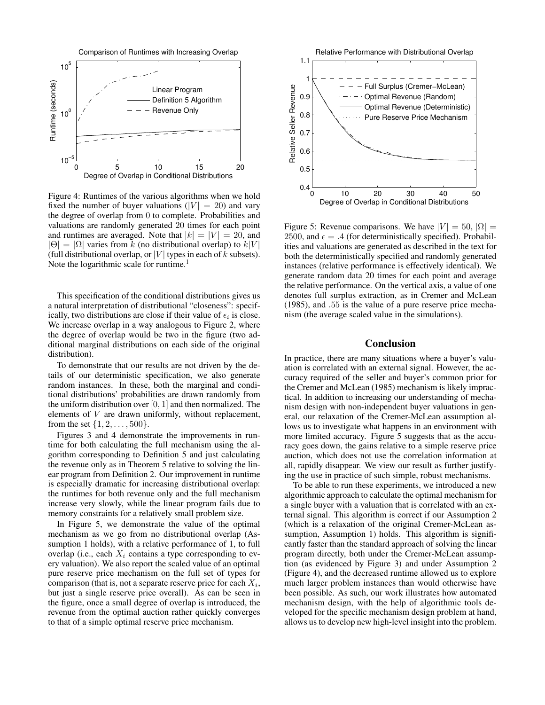

Figure 4: Runtimes of the various algorithms when we hold fixed the number of buyer valuations ( $|V| = 20$ ) and vary the degree of overlap from 0 to complete. Probabilities and valuations are randomly generated 20 times for each point and runtimes are averaged. Note that  $|k| = |V| = 20$ , and  $|\Theta| = |\Omega|$  varies from k (no distributional overlap) to  $k|V|$ (full distributional overlap, or |V| types in each of  $k$  subsets). Note the logarithmic scale for runtime.<sup>1</sup>

This specification of the conditional distributions gives us a natural interpretation of distributional "closeness": specifically, two distributions are close if their value of  $\epsilon_i$  is close. We increase overlap in a way analogous to Figure 2, where the degree of overlap would be two in the figure (two additional marginal distributions on each side of the original distribution).

To demonstrate that our results are not driven by the details of our deterministic specification, we also generate random instances. In these, both the marginal and conditional distributions' probabilities are drawn randomly from the uniform distribution over  $[0, 1]$  and then normalized. The elements of V are drawn uniformly, without replacement, from the set  $\{1, 2, \ldots, 500\}$ .

Figures 3 and 4 demonstrate the improvements in runtime for both calculating the full mechanism using the algorithm corresponding to Definition 5 and just calculating the revenue only as in Theorem 5 relative to solving the linear program from Definition 2. Our improvement in runtime is especially dramatic for increasing distributional overlap: the runtimes for both revenue only and the full mechanism increase very slowly, while the linear program fails due to memory constraints for a relatively small problem size.

In Figure 5, we demonstrate the value of the optimal mechanism as we go from no distributional overlap (Assumption 1 holds), with a relative performance of 1, to full overlap (i.e., each  $X_i$  contains a type corresponding to every valuation). We also report the scaled value of an optimal pure reserve price mechanism on the full set of types for comparison (that is, not a separate reserve price for each  $X_i$ , but just a single reserve price overall). As can be seen in the figure, once a small degree of overlap is introduced, the revenue from the optimal auction rather quickly converges to that of a simple optimal reserve price mechanism.



Figure 5: Revenue comparisons. We have  $|V| = 50$ ,  $|\Omega| =$ 2500, and  $\epsilon = .4$  (for deterministically specified). Probabilities and valuations are generated as described in the text for both the deterministically specified and randomly generated instances (relative performance is effectively identical). We generate random data 20 times for each point and average the relative performance. On the vertical axis, a value of one denotes full surplus extraction, as in Cremer and McLean (1985), and .55 is the value of a pure reserve price mechanism (the average scaled value in the simulations).

### Conclusion

In practice, there are many situations where a buyer's valuation is correlated with an external signal. However, the accuracy required of the seller and buyer's common prior for the Cremer and McLean (1985) mechanism is likely impractical. In addition to increasing our understanding of mechanism design with non-independent buyer valuations in general, our relaxation of the Cremer-McLean assumption allows us to investigate what happens in an environment with more limited accuracy. Figure 5 suggests that as the accuracy goes down, the gains relative to a simple reserve price auction, which does not use the correlation information at all, rapidly disappear. We view our result as further justifying the use in practice of such simple, robust mechanisms.

To be able to run these experiments, we introduced a new algorithmic approach to calculate the optimal mechanism for a single buyer with a valuation that is correlated with an external signal. This algorithm is correct if our Assumption 2 (which is a relaxation of the original Cremer-McLean assumption, Assumption 1) holds. This algorithm is significantly faster than the standard approach of solving the linear program directly, both under the Cremer-McLean assumption (as evidenced by Figure 3) and under Assumption 2 (Figure 4), and the decreased runtime allowed us to explore much larger problem instances than would otherwise have been possible. As such, our work illustrates how automated mechanism design, with the help of algorithmic tools developed for the specific mechanism design problem at hand, allows us to develop new high-level insight into the problem.